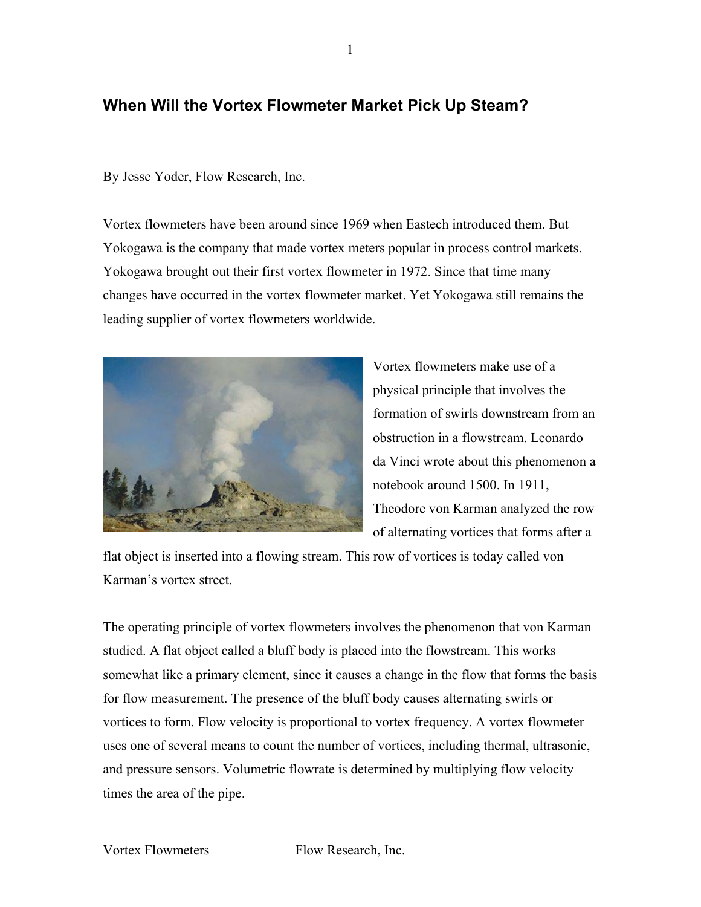## **When Will the Vortex Flowmeter Market Pick Up Steam?**

By Jesse Yoder, Flow Research, Inc.

Vortex flowmeters have been around since 1969 when Eastech introduced them. But Yokogawa is the company that made vortex meters popular in process control markets. Yokogawa brought out their first vortex flowmeter in 1972. Since that time many changes have occurred in the vortex flowmeter market. Yet Yokogawa still remains the leading supplier of vortex flowmeters worldwide.



Vortex flowmeters make use of a physical principle that involves the formation of swirls downstream from an obstruction in a flowstream. Leonardo da Vinci wrote about this phenomenon a notebook around 1500. In 1911, Theodore von Karman analyzed the row of alternating vortices that forms after a

flat object is inserted into a flowing stream. This row of vortices is today called von Karman's vortex street.

The operating principle of vortex flowmeters involves the phenomenon that von Karman studied. A flat object called a bluff body is placed into the flowstream. This works somewhat like a primary element, since it causes a change in the flow that forms the basis for flow measurement. The presence of the bluff body causes alternating swirls or vortices to form. Flow velocity is proportional to vortex frequency. A vortex flowmeter uses one of several means to count the number of vortices, including thermal, ultrasonic, and pressure sensors. Volumetric flowrate is determined by multiplying flow velocity times the area of the pipe.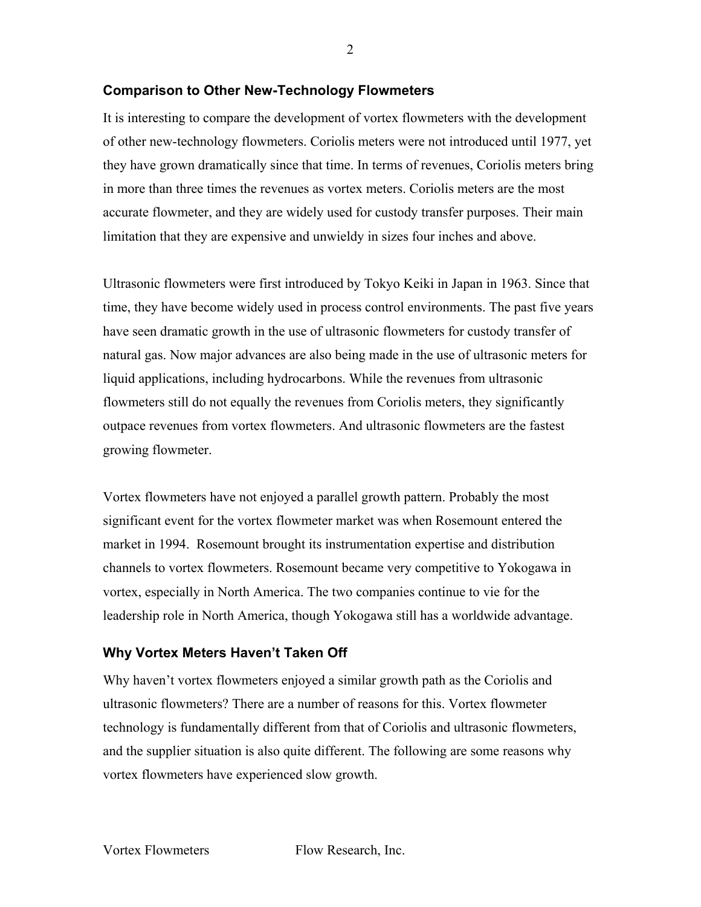## **Comparison to Other New-Technology Flowmeters**

It is interesting to compare the development of vortex flowmeters with the development of other new-technology flowmeters. Coriolis meters were not introduced until 1977, yet they have grown dramatically since that time. In terms of revenues, Coriolis meters bring in more than three times the revenues as vortex meters. Coriolis meters are the most accurate flowmeter, and they are widely used for custody transfer purposes. Their main limitation that they are expensive and unwieldy in sizes four inches and above.

Ultrasonic flowmeters were first introduced by Tokyo Keiki in Japan in 1963. Since that time, they have become widely used in process control environments. The past five years have seen dramatic growth in the use of ultrasonic flowmeters for custody transfer of natural gas. Now major advances are also being made in the use of ultrasonic meters for liquid applications, including hydrocarbons. While the revenues from ultrasonic flowmeters still do not equally the revenues from Coriolis meters, they significantly outpace revenues from vortex flowmeters. And ultrasonic flowmeters are the fastest growing flowmeter.

Vortex flowmeters have not enjoyed a parallel growth pattern. Probably the most significant event for the vortex flowmeter market was when Rosemount entered the market in 1994. Rosemount brought its instrumentation expertise and distribution channels to vortex flowmeters. Rosemount became very competitive to Yokogawa in vortex, especially in North America. The two companies continue to vie for the leadership role in North America, though Yokogawa still has a worldwide advantage.

## **Why Vortex Meters Haven't Taken Off**

Why haven't vortex flowmeters enjoyed a similar growth path as the Coriolis and ultrasonic flowmeters? There are a number of reasons for this. Vortex flowmeter technology is fundamentally different from that of Coriolis and ultrasonic flowmeters, and the supplier situation is also quite different. The following are some reasons why vortex flowmeters have experienced slow growth.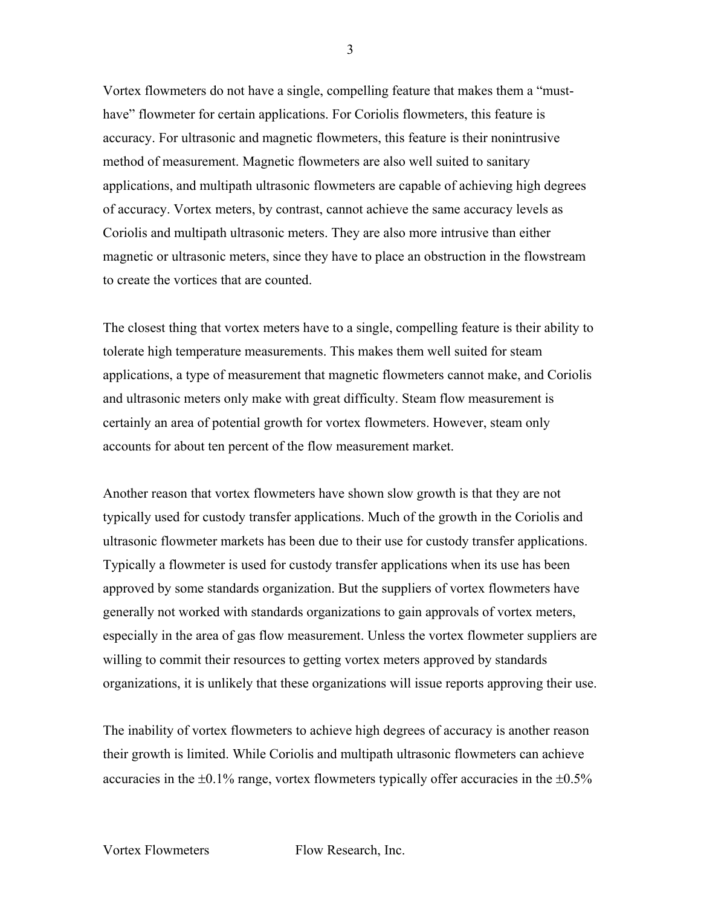Vortex flowmeters do not have a single, compelling feature that makes them a "musthave" flowmeter for certain applications. For Coriolis flowmeters, this feature is accuracy. For ultrasonic and magnetic flowmeters, this feature is their nonintrusive method of measurement. Magnetic flowmeters are also well suited to sanitary applications, and multipath ultrasonic flowmeters are capable of achieving high degrees of accuracy. Vortex meters, by contrast, cannot achieve the same accuracy levels as Coriolis and multipath ultrasonic meters. They are also more intrusive than either magnetic or ultrasonic meters, since they have to place an obstruction in the flowstream to create the vortices that are counted.

The closest thing that vortex meters have to a single, compelling feature is their ability to tolerate high temperature measurements. This makes them well suited for steam applications, a type of measurement that magnetic flowmeters cannot make, and Coriolis and ultrasonic meters only make with great difficulty. Steam flow measurement is certainly an area of potential growth for vortex flowmeters. However, steam only accounts for about ten percent of the flow measurement market.

Another reason that vortex flowmeters have shown slow growth is that they are not typically used for custody transfer applications. Much of the growth in the Coriolis and ultrasonic flowmeter markets has been due to their use for custody transfer applications. Typically a flowmeter is used for custody transfer applications when its use has been approved by some standards organization. But the suppliers of vortex flowmeters have generally not worked with standards organizations to gain approvals of vortex meters, especially in the area of gas flow measurement. Unless the vortex flowmeter suppliers are willing to commit their resources to getting vortex meters approved by standards organizations, it is unlikely that these organizations will issue reports approving their use.

The inability of vortex flowmeters to achieve high degrees of accuracy is another reason their growth is limited. While Coriolis and multipath ultrasonic flowmeters can achieve accuracies in the  $\pm 0.1\%$  range, vortex flowmeters typically offer accuracies in the  $\pm 0.5\%$ 

3